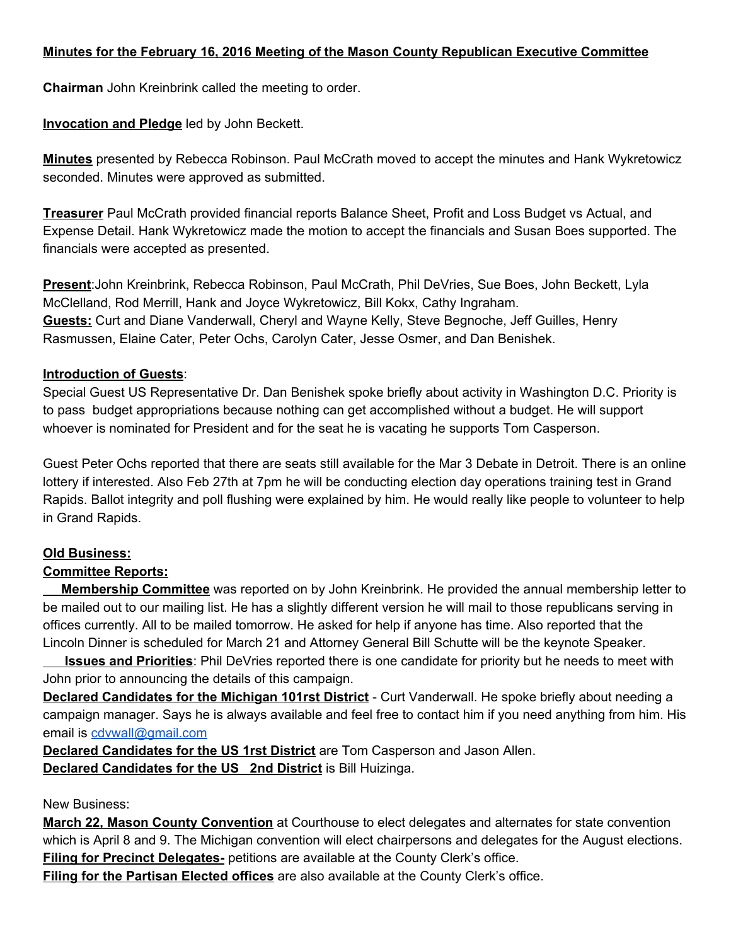# **Minutes for the February 16, 2016 Meeting of the Mason County Republican Executive Committee**

**Chairman**John Kreinbrink called the meeting to order.

# **Invocation and Pledge**led by John Beckett.

**Minutes** presented by Rebecca Robinson. Paul McCrath moved to accept the minutes and Hank Wykretowicz seconded. Minutes were approved as submitted.

**Treasurer**Paul McCrath provided financial reports Balance Sheet, Profit and Loss Budget vs Actual, and Expense Detail. Hank Wykretowicz made the motion to accept the financials and Susan Boes supported. The financials were accepted as presented.

**Present**:John Kreinbrink, Rebecca Robinson, Paul McCrath, Phil DeVries, Sue Boes, John Beckett, Lyla McClelland, Rod Merrill, Hank and Joyce Wykretowicz, Bill Kokx, Cathy Ingraham. **Guests:**Curt and Diane Vanderwall, Cheryl and Wayne Kelly, Steve Begnoche, Jeff Guilles, Henry Rasmussen, Elaine Cater, Peter Ochs, Carolyn Cater, Jesse Osmer, and Dan Benishek.

## **Introduction of Guests**:

Special Guest US Representative Dr. Dan Benishek spoke briefly about activity in Washington D.C. Priority is to pass budget appropriations because nothing can get accomplished without a budget. He will support whoever is nominated for President and for the seat he is vacating he supports Tom Casperson.

Guest Peter Ochs reported that there are seats still available for the Mar 3 Debate in Detroit. There is an online lottery if interested. Also Feb 27th at 7pm he will be conducting election day operations training test in Grand Rapids. Ballot integrity and poll flushing were explained by him. He would really like people to volunteer to help in Grand Rapids.

## **Old Business:**

## **Committee Reports:**

**Membership Committee**was reported on by John Kreinbrink. He provided the annual membership letter to be mailed out to our mailing list. He has a slightly different version he will mail to those republicans serving in offices currently. All to be mailed tomorrow. He asked for help if anyone has time. Also reported that the Lincoln Dinner is scheduled for March 21 and Attorney General Bill Schutte will be the keynote Speaker.

**Issues and Priorities**: Phil DeVries reported there is one candidate for priority but he needs to meet with John prior to announcing the details of this campaign.

**Declared Candidates for the Michigan 101rst District - Curt Vanderwall. He spoke briefly about needing a** campaign manager. Says he is always available and feel free to contact him if you need anything from him. His email is [cdvwall@gmail.com](mailto:cdvwall@gmail.com)

**Declared Candidates for the US 1rst District**are Tom Casperson and Jason Allen. **Declared Candidates for the US 2nd District**is Bill Huizinga.

## New Business:

**March 22, Mason County Convention**at Courthouse to elect delegates and alternates for state convention which is April 8 and 9. The Michigan convention will elect chairpersons and delegates for the August elections. **Filing for Precinct Delegates-** petitions are available at the County Clerk's office.

**Filing for the Partisan Elected offices**are also available at the County Clerk's office.